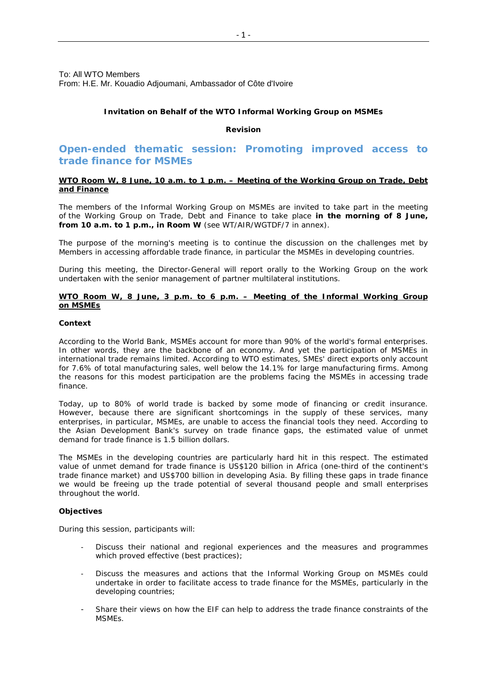To: All WTO Members From: H.E. Mr. Kouadio Adjoumani, Ambassador of Côte d'Ivoire

# *Invitation on Behalf of the WTO Informal Working Group on MSMEs*

# *Revision*

# **Open-ended thematic session: Promoting improved access to trade finance for MSMEs**

# **WTO Room W, 8 June, 10 a.m. to 1 p.m. – Meeting of the Working Group on Trade, Debt and Finance**

The members of the Informal Working Group on MSMEs are invited to take part in the meeting of the Working Group on Trade, Debt and Finance to take place **in the morning of 8 June, from 10 a.m. to 1 p.m., in Room W** (see WT/AIR/WGTDF/7 in annex).

The purpose of the morning's meeting is to continue the discussion on the challenges met by Members in accessing affordable trade finance, in particular the MSMEs in developing countries.

During this meeting, the Director-General will report orally to the Working Group on the work undertaken with the senior management of partner multilateral institutions.

### **WTO Room W, 8 June, 3 p.m. to 6 p.m. – Meeting of the Informal Working Group on MSMEs**

#### *Context*

According to the World Bank, MSMEs account for more than 90% of the world's formal enterprises. In other words, they are the backbone of an economy. And yet the participation of MSMEs in international trade remains limited. According to WTO estimates, SMEs' direct exports only account for 7.6% of total manufacturing sales, well below the 14.1% for large manufacturing firms. Among the reasons for this modest participation are the problems facing the MSMEs in accessing trade finance.

Today, up to 80% of world trade is backed by some mode of financing or credit insurance. However, because there are significant shortcomings in the supply of these services, many enterprises, in particular, MSMEs, are unable to access the financial tools they need. According to the Asian Development Bank's survey on trade finance gaps, the estimated value of unmet demand for trade finance is 1.5 billion dollars.

The MSMEs in the developing countries are particularly hard hit in this respect. The estimated value of unmet demand for trade finance is US\$120 billion in Africa (one-third of the continent's trade finance market) and US\$700 billion in developing Asia. By filling these gaps in trade finance we would be freeing up the trade potential of several thousand people and small enterprises throughout the world.

## *Objectives*

During this session, participants will:

- Discuss their national and regional experiences and the measures and programmes which proved effective (best practices);
- Discuss the measures and actions that the Informal Working Group on MSMEs could undertake in order to facilitate access to trade finance for the MSMEs, particularly in the developing countries;
- Share their views on how the EIF can help to address the trade finance constraints of the MSMEs.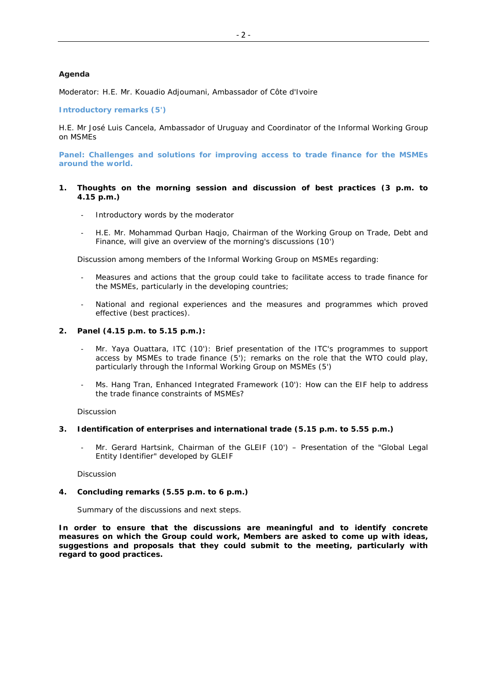## *Agenda*

Moderator: H.E. Mr. Kouadio Adjoumani, Ambassador of Côte d'Ivoire

#### **Introductory remarks (5')**

H.E. Mr José Luis Cancela, Ambassador of Uruguay and Coordinator of the Informal Working Group on MSMEs

**Panel: Challenges and solutions for improving access to trade finance for the MSMEs around the world.**

## **1. Thoughts on the morning session and discussion of best practices (3 p.m. to 4.15 p.m.)**

- Introductory words by the moderator
- H.E. Mr. Mohammad Qurban Haqjo, Chairman of the Working Group on Trade, Debt and Finance, will give an overview of the morning's discussions (10')

Discussion among members of the Informal Working Group on MSMEs regarding:

- Measures and actions that the group could take to facilitate access to trade finance for the MSMEs, particularly in the developing countries;
- National and regional experiences and the measures and programmes which proved effective (best practices).

## **2. Panel (4.15 p.m. to 5.15 p.m.):**

- Mr. Yaya Ouattara, ITC (10'): Brief presentation of the ITC's programmes to support access by MSMEs to trade finance (5'); remarks on the role that the WTO could play, particularly through the Informal Working Group on MSMEs (5')
- Ms. Hang Tran, Enhanced Integrated Framework (10'): How can the EIF help to address the trade finance constraints of MSMEs?

Discussion

#### **3. Identification of enterprises and international trade (5.15 p.m. to 5.55 p.m.)**

Mr. Gerard Hartsink, Chairman of the GLEIF (10') – Presentation of the "Global Legal Entity Identifier" developed by GLEIF

Discussion

#### **4. Concluding remarks (5.55 p.m. to 6 p.m.)**

Summary of the discussions and next steps.

**In order to ensure that the discussions are meaningful and to identify concrete measures on which the Group could work, Members are asked to come up with ideas, suggestions and proposals that they could submit to the meeting, particularly with regard to good practices.**